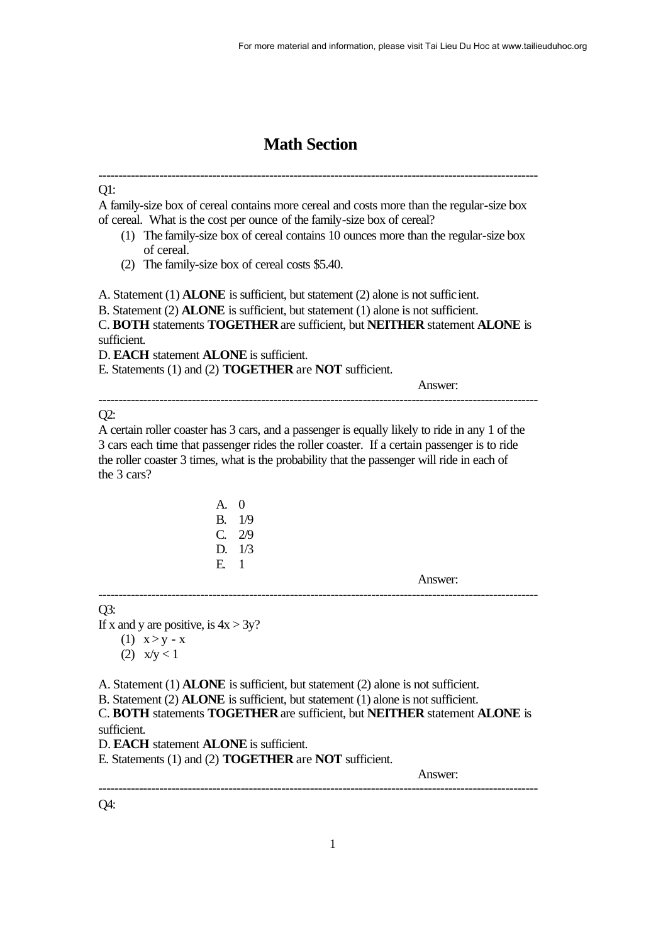# **Math Section**

------------------------------------------------------------------------------------------------------------

## Q1:

A family-size box of cereal contains more cereal and costs more than the regular-size box of cereal. What is the cost per ounce of the family-size box of cereal?

- (1) The family-size box of cereal contains 10 ounces more than the regular-size box of cereal.
- (2) The family-size box of cereal costs \$5.40.

A. Statement (1) **ALONE** is sufficient, but statement (2) alone is not sufficient.

B. Statement (2) **ALONE** is sufficient, but statement (1) alone is not sufficient.

C. **BOTH** statements **TOGETHER** are sufficient, but **NEITHER** statement **ALONE** is sufficient.

------------------------------------------------------------------------------------------------------------

D. **EACH** statement **ALONE** is sufficient.

E. Statements (1) and (2) **TOGETHER** are **NOT** sufficient.

Answer:

# $O2$ :

A certain roller coaster has 3 cars, and a passenger is equally likely to ride in any 1 of the 3 cars each time that passenger rides the roller coaster. If a certain passenger is to ride the roller coaster 3 times, what is the probability that the passenger will ride in each of the 3 cars?

| A. | $\mathbf{0}$ |
|----|--------------|
| B. | 1/9          |
| C. | 2/9          |
| D. | 1/3          |
| Е. | 1            |

Answer:

## $O3$ :

If x and y are positive, is  $4x > 3y$ ?

(1)  $x > y - x$ 

(2)  $x/y < 1$ 

A. Statement (1) **ALONE** is sufficient, but statement (2) alone is not sufficient.

B. Statement (2) **ALONE** is sufficient, but statement (1) alone is not sufficient.

C. **BOTH** statements **TOGETHER** are sufficient, but **NEITHER** statement **ALONE** is sufficient.

------------------------------------------------------------------------------------------------------------

------------------------------------------------------------------------------------------------------------

D. **EACH** statement **ALONE** is sufficient.

E. Statements (1) and (2) **TOGETHER** are **NOT** sufficient.

Answer:

Q4: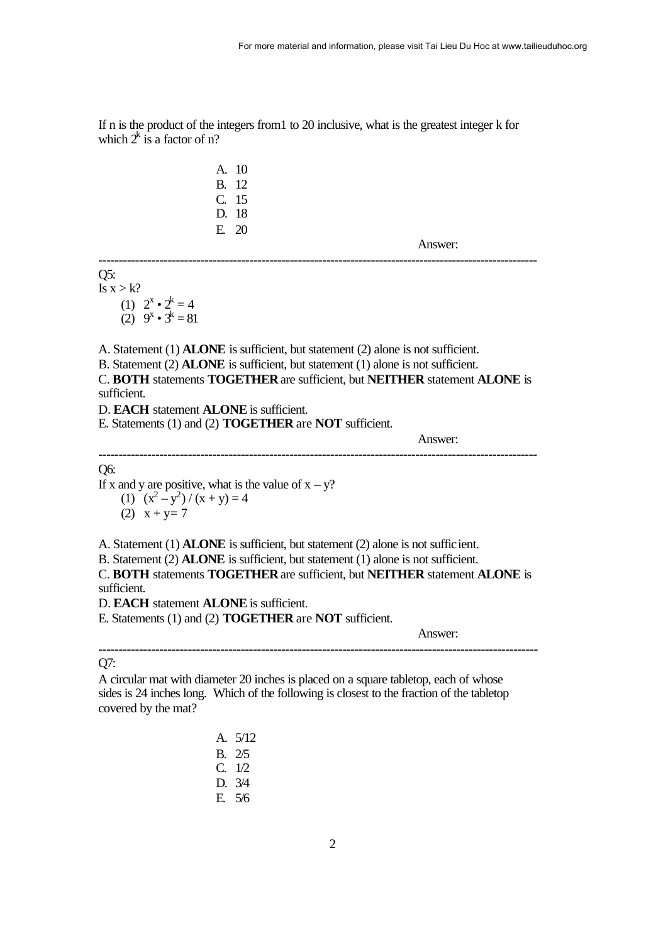If n is the product of the integers from1 to 20 inclusive, what is the greatest integer k for which  $2^k$  is a factor of n?

> A. 10 B. 12 C. 15 D. 18 E. 20

> > Answer:

------------------------------------------------------------------------------------------------------------

# Q5:

Is  $x > k$ ? (1)  $2^x \cdot 2^k = 4$  $(2)$  9<sup>x</sup> • 3<sup>k</sup> = 81

A. Statement (1) **ALONE** is sufficient, but statement (2) alone is not sufficient.

B. Statement (2) **ALONE** is sufficient, but statement (1) alone is not sufficient.

C. **BOTH** statements **TOGETHER** are sufficient, but **NEITHER** statement **ALONE** is sufficient.

------------------------------------------------------------------------------------------------------------

D. **EACH** statement **ALONE** is sufficient.

E. Statements (1) and (2) **TOGETHER** are **NOT** sufficient.

Answer:

Q6:

If x and y are positive, what is the value of  $x - y$ ?

(1)  $(x^2-y^2)/(x+y) = 4$ (2)  $x + y = 7$ 

A. Statement (1) **ALONE** is sufficient, but statement (2) alone is not sufficient.

B. Statement (2) **ALONE** is sufficient, but statement (1) alone is not sufficient.

C. **BOTH** statements **TOGETHER** are sufficient, but **NEITHER** statement **ALONE** is sufficient.

D. **EACH** statement **ALONE** is sufficient.

E. Statements (1) and (2) **TOGETHER** are **NOT** sufficient.

Answer:

## ------------------------------------------------------------------------------------------------------------ Q7:

A circular mat with diameter 20 inches is placed on a square tabletop, each of whose sides is 24 inches long. Which of the following is closest to the fraction of the tabletop covered by the mat?

| A. | 5/12 |
|----|------|
| B. | 2/5  |
| C. | 1/2  |
| D. | 3/4  |
| E. | 5/6  |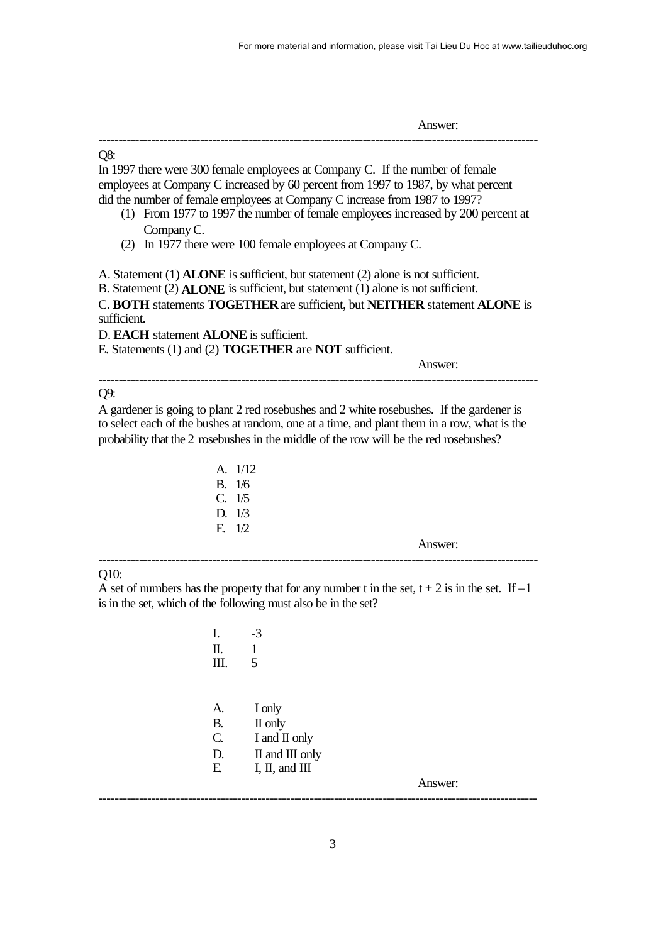Answer: ------------------------------------------------------------------------------------------------------------ Q8: In 1997 there were 300 female employees at Company C. If the number of female employees at Company C increased by 60 percent from 1997 to 1987, by what percent did the number of female employees at Company C increase from 1987 to 1997? (1) From 1977 to 1997 the number of female employees increased by 200 percent at Company C. (2) In 1977 there were 100 female employees at Company C. A. Statement (1) **ALONE** is sufficient, but statement (2) alone is not sufficient. B. Statement (2) **ALONE** is sufficient, but statement (1) alone is not sufficient. C. **BOTH** statements **TOGETHER** are sufficient, but **NEITHER** statement **ALONE** is sufficient. D. **EACH** statement **ALONE** is sufficient. E. Statements (1) and (2) **TOGETHER** are **NOT** sufficient. Answer: ------------------------------------------------------------------------------------------------------------

## Q9:

A gardener is going to plant 2 red rosebushes and 2 white rosebushes. If the gardener is to select each of the bushes at random, one at a time, and plant them in a row, what is the probability that the 2 rosebushes in the middle of the row will be the red rosebushes?

|             | A. 1/12 |
|-------------|---------|
| В.          | 1/6     |
| $\mathbf C$ | 1/5     |
| D.          | 1/3     |
| E.          | 1/2     |

Answer:

Q10:

A set of numbers has the property that for any number t in the set,  $t + 2$  is in the set. If  $-1$ is in the set, which of the following must also be in the set?

------------------------------------------------------------------------------------------------------------

| Ι.              | $-3$            |         |
|-----------------|-----------------|---------|
| Π.              | 1               |         |
| Ш.              | 5               |         |
|                 |                 |         |
|                 |                 |         |
| A.              | I only          |         |
|                 | B. II only      |         |
| $\mathcal{C}$ . | I and II only   |         |
| D.              | II and III only |         |
| Ε.              | I, II, and III  |         |
|                 |                 | Answer: |
|                 |                 |         |
|                 |                 |         |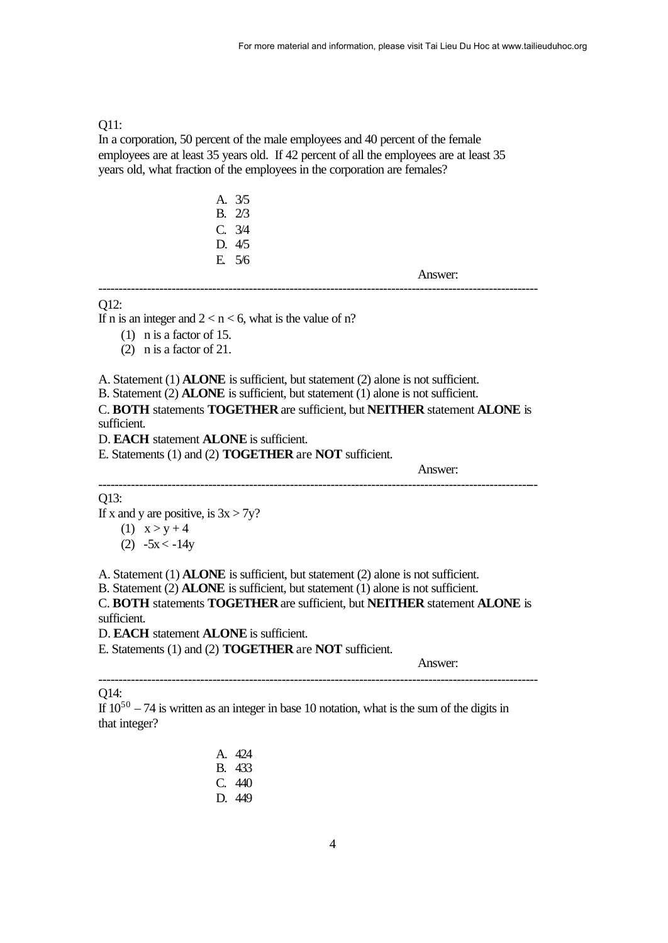#### Q11:

In a corporation, 50 percent of the male employees and 40 percent of the female employees are at least 35 years old. If 42 percent of all the employees are at least 35 years old, what fraction of the employees in the corporation are females?

| А. | 3/5 |
|----|-----|
| В. | 273 |
| C. | 3/4 |
| D. | 4/5 |
| E. | 5/6 |

Answer:

#### O12:

If n is an integer and  $2 < n < 6$ , what is the value of n?

(1) n is a factor of 15.

(2) n is a factor of 21.

A. Statement (1) **ALONE** is sufficient, but statement (2) alone is not sufficient.

B. Statement (2) **ALONE** is sufficient, but statement (1) alone is not sufficient.

C. **BOTH** statements **TOGETHER** are sufficient, but **NEITHER** statement **ALONE** is sufficient.

------------------------------------------------------------------------------------------------------------

------------------------------------------------------------------------------------------------------------

D. **EACH** statement **ALONE** is sufficient.

E. Statements (1) and (2) **TOGETHER** are **NOT** sufficient.

Answer:

## Q13:

If x and y are positive, is  $3x > 7y$ ?

- (1)  $x > y + 4$
- $(2) -5x < -14y$

A. Statement (1) **ALONE** is sufficient, but statement (2) alone is not sufficient.

B. Statement (2) **ALONE** is sufficient, but statement (1) alone is not sufficient.

C. **BOTH** statements **TOGETHER** are sufficient, but **NEITHER** statement **ALONE** is sufficient.

------------------------------------------------------------------------------------------------------------

D. **EACH** statement **ALONE** is sufficient.

E. Statements (1) and (2) **TOGETHER** are **NOT** sufficient.

Answer:

Q14:

If  $10^{50} - 74$  is written as an integer in base 10 notation, what is the sum of the digits in that integer?

> A. 424 B. 433 C. 440 D. 449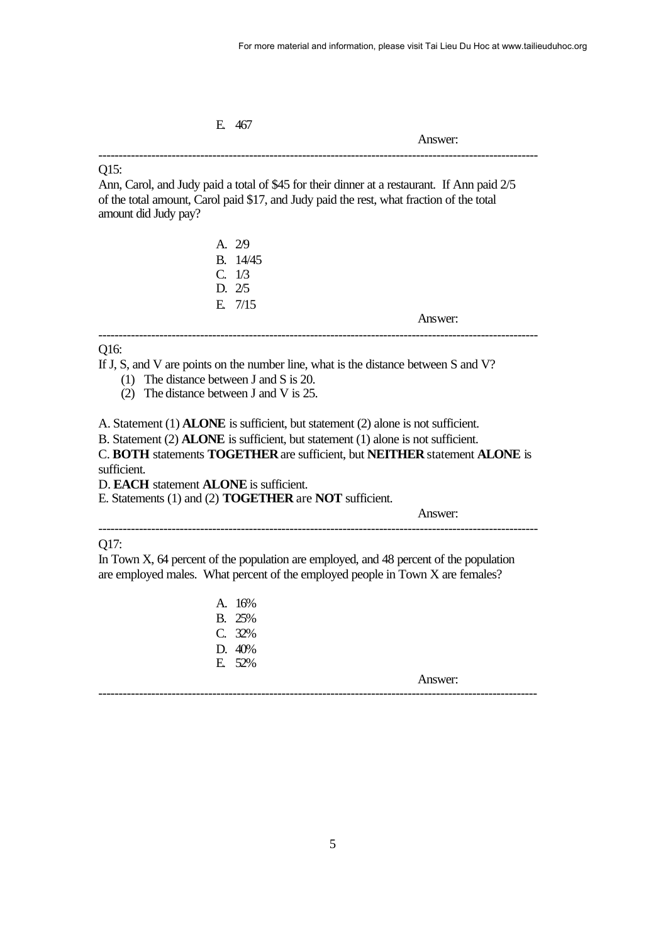E. 467

Answer:

## Q15:

Ann, Carol, and Judy paid a total of \$45 for their dinner at a restaurant. If Ann paid 2/5 of the total amount, Carol paid \$17, and Judy paid the rest, what fraction of the total amount did Judy pay?

------------------------------------------------------------------------------------------------------------

|                                                      | A. 29                                                                                   |
|------------------------------------------------------|-----------------------------------------------------------------------------------------|
|                                                      | B. 14/45                                                                                |
|                                                      | C. 1/3                                                                                  |
|                                                      | D. 2/5                                                                                  |
|                                                      | E. $7/15$                                                                               |
|                                                      | Answer:                                                                                 |
| Q16:                                                 |                                                                                         |
|                                                      | If J, S, and V are points on the number line, what is the distance between S and V?     |
| (1) The distance between $J$ and $S$ is 20.          |                                                                                         |
| The distance between J and V is 25.<br>(2)           |                                                                                         |
|                                                      | A. Statement (1) <b>ALONE</b> is sufficient, but statement (2) alone is not sufficient. |
|                                                      | B. Statement (2) ALONE is sufficient, but statement (1) alone is not sufficient.        |
|                                                      | C. BOTH statements TOGETHER are sufficient, but NEITHER statement ALONE is              |
| sufficient.                                          |                                                                                         |
| D. <b>EACH</b> statement <b>ALONE</b> is sufficient. |                                                                                         |
|                                                      | E. Statements (1) and (2) <b>TOGETHER</b> are <b>NOT</b> sufficient.                    |
|                                                      | Answer:                                                                                 |
|                                                      |                                                                                         |
| Q17:                                                 |                                                                                         |
|                                                      | In Town X, 64 percent of the population are employed, and 48 percent of the population  |
|                                                      | are employed males. What percent of the employed people in Town X are females?          |
|                                                      | A. 16%                                                                                  |
|                                                      | <b>B.</b> 25%                                                                           |
|                                                      | C. 32%                                                                                  |

Answer: ------------------------------------------------------------------------------------------------------------

D. 40% E. 52%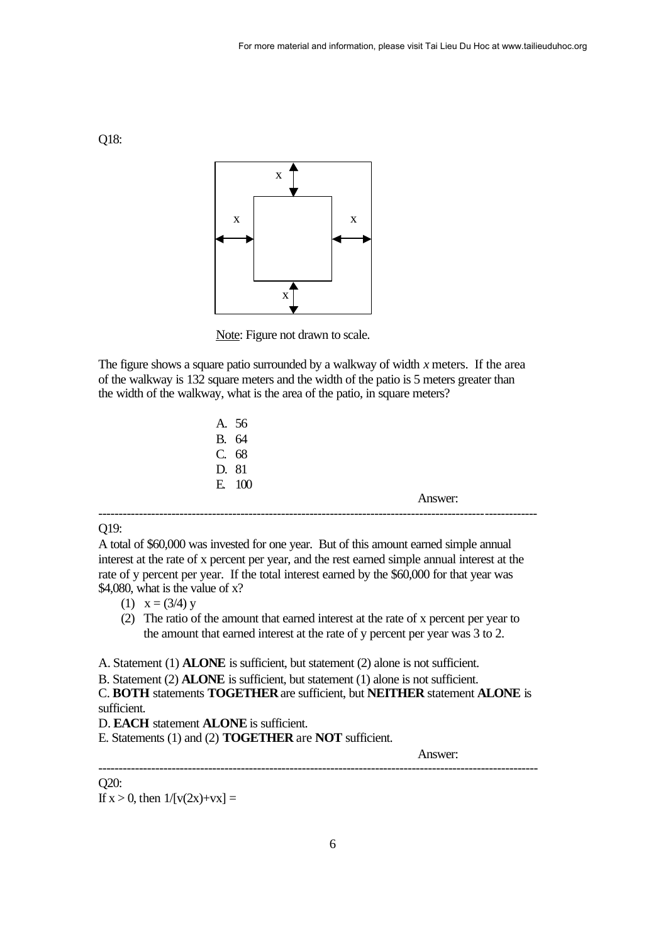

Note: Figure not drawn to scale.

The figure shows a square patio surrounded by a walkway of width *x* meters. If the area of the walkway is 132 square meters and the width of the patio is 5 meters greater than the width of the walkway, what is the area of the patio, in square meters?

A. 56 B. 64 C. 68 D. 81 E. 100 Answer: ------------------------------------------------------------------------------------------------------------

#### Q19:

A total of \$60,000 was invested for one year. But of this amount earned simple annual interest at the rate of x percent per year, and the rest earned simple annual interest at the rate of y percent per year. If the total interest earned by the \$60,000 for that year was \$4,080, what is the value of x?

- (1)  $x = (3/4) y$
- (2) The ratio of the amount that earned interest at the rate of x percent per year to the amount that earned interest at the rate of y percent per year was 3 to 2.

A. Statement (1) **ALONE** is sufficient, but statement (2) alone is not sufficient.

B. Statement (2) **ALONE** is sufficient, but statement (1) alone is not sufficient.

C. **BOTH** statements **TOGETHER** are sufficient, but **NEITHER** statement **ALONE** is sufficient.

------------------------------------------------------------------------------------------------------------

D. **EACH** statement **ALONE** is sufficient.

E. Statements (1) and (2) **TOGETHER** are **NOT** sufficient.

Answer:

#### Q20:

If  $x > 0$ , then  $1/[v(2x)+vx] =$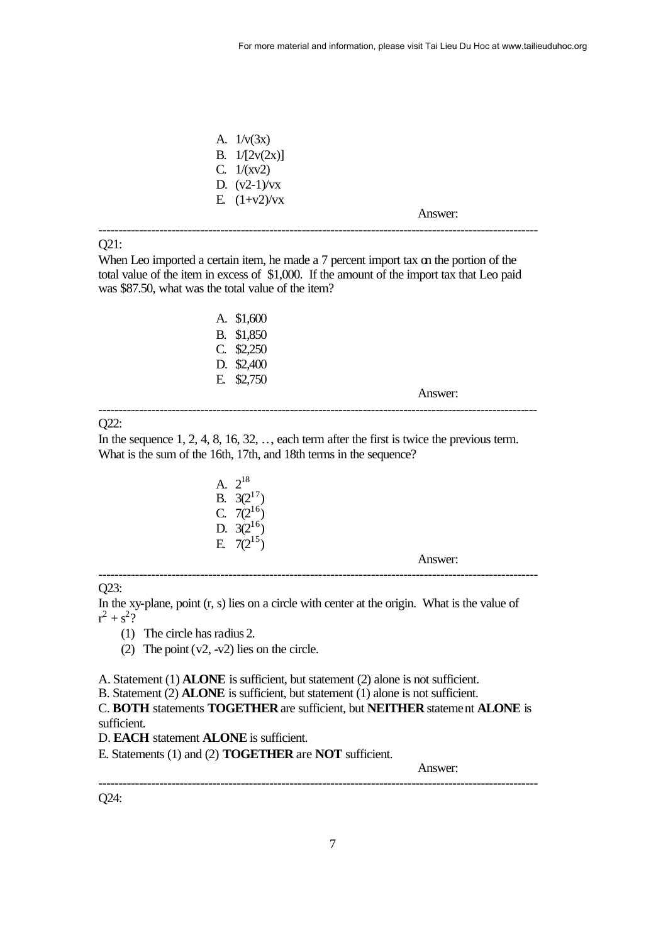| A. $1/\nu(3x)$  |         |  |
|-----------------|---------|--|
| B. $1/[2v(2x)]$ |         |  |
| C. $1/(xv^2)$   |         |  |
| D. $(v2-1)/vx$  |         |  |
| E. $(1+v2)/vx$  |         |  |
|                 | Answer: |  |
|                 |         |  |

## Q21:

When Leo imported a certain item, he made a 7 percent import tax on the portion of the total value of the item in excess of \$1,000. If the amount of the import tax that Leo paid was \$87.50, what was the total value of the item?

| А. | \$1.600 |
|----|---------|
| B. | \$1,850 |
| C. | \$2,250 |
| D. | \$2,400 |
| Н. | \$2.750 |

Answer:

## O22:

In the sequence  $1, 2, 4, 8, 16, 32, \ldots$ , each term after the first is twice the previous term. What is the sum of the 16th, 17th, and 18th terms in the sequence?

------------------------------------------------------------------------------------------------------------

| $\mathsf{A}$ | $2^{18}$    |
|--------------|-------------|
| В.           | $3(2^{17})$ |
| C.           | $7(2^{16})$ |
| D.           | $3(2^{16})$ |
| Н.           | $7(2^{15})$ |

Answer:

#### Q23:

In the xy-plane, point (r, s) lies on a circle with center at the origin. What is the value of  $r^2 + s^2$ ?

------------------------------------------------------------------------------------------------------------

(1) The circle has radius 2.

(2) The point  $(v2, -v2)$  lies on the circle.

A. Statement (1) **ALONE** is sufficient, but statement (2) alone is not sufficient.

B. Statement (2) **ALONE** is sufficient, but statement (1) alone is not sufficient.

C. **BOTH** statements **TOGETHER** are sufficient, but **NEITHER** statement **ALONE** is sufficient.

------------------------------------------------------------------------------------------------------------

D. **EACH** statement **ALONE** is sufficient.

E. Statements (1) and (2) **TOGETHER** are **NOT** sufficient.

Answer:

Q24: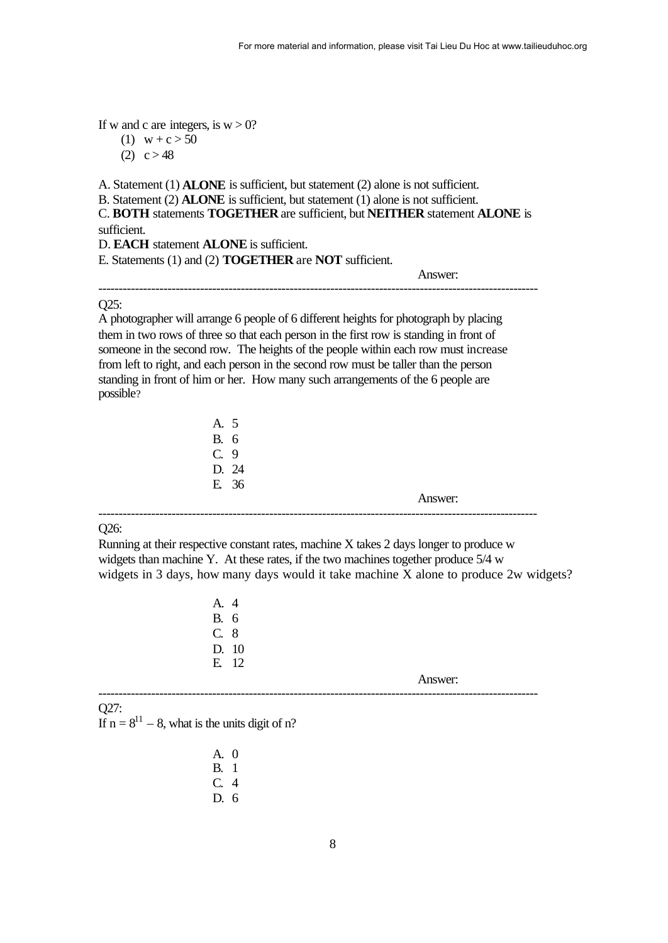If w and c are integers, is  $w > 0$ ?

(1)  $w + c > 50$ 

(2)  $c > 48$ 

A. Statement (1) **ALONE** is sufficient, but statement (2) alone is not sufficient. B. Statement (2) **ALONE** is sufficient, but statement (1) alone is not sufficient.

C. **BOTH** statements **TOGETHER** are sufficient, but **NEITHER** statement **ALONE** is sufficient.

------------------------------------------------------------------------------------------------------------

D. **EACH** statement **ALONE** is sufficient.

E. Statements (1) and (2) **TOGETHER** are **NOT** sufficient.

Answer:

## Q25:

A photographer will arrange 6 people of 6 different heights for photograph by placing them in two rows of three so that each person in the first row is standing in front of someone in the second row. The heights of the people within each row must increase from left to right, and each person in the second row must be taller than the person standing in front of him or her. How many such arrangements of the 6 people are possible?

| А. | 5  |
|----|----|
| В. | 6  |
| C. | 9. |
| D. | 24 |
| E. | 36 |

Answer:

#### Q26:

Running at their respective constant rates, machine X takes 2 days longer to produce w widgets than machine Y. At these rates, if the two machines together produce 5/4 w widgets in 3 days, how many days would it take machine X alone to produce 2w widgets?

------------------------------------------------------------------------------------------------------------

A. 4 B. 6 C. 8 D. 10 E. 12

Answer:

------------------------------------------------------------------------------------------------------------ Q27: If  $n = 8^{11} - 8$ , what is the units digit of n?

| A.           | $\mathbf{\Omega}$ |
|--------------|-------------------|
| B.           | -1                |
| $\mathbf{C}$ | 4                 |
| D. 6         |                   |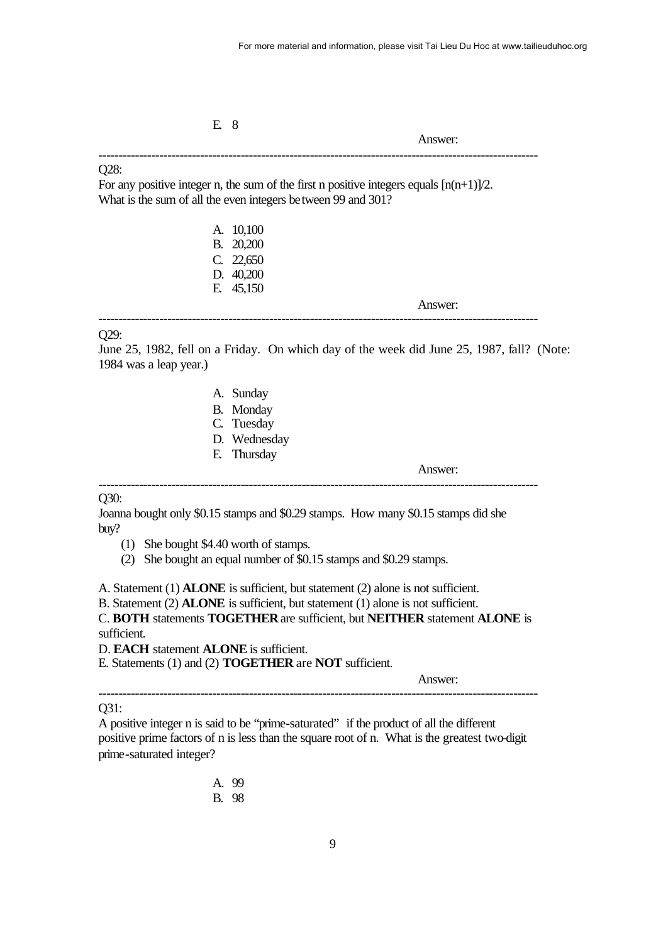E. 8

Answer:

#### Q28:

For any positive integer n, the sum of the first n positive integers equals  $[n(n+1)]/2$ . What is the sum of all the even integers between 99 and 301?

------------------------------------------------------------------------------------------------------------

| A. 10,100 |
|-----------|
| B. 20,200 |
| C. 22,650 |
| D. 40,200 |
| E. 45,150 |

Answer:

# Q29:

June 25, 1982, fell on a Friday. On which day of the week did June 25, 1987, fall? (Note: 1984 was a leap year.)

------------------------------------------------------------------------------------------------------------

- A. Sunday
- B. Monday
- C. Tuesday
- D. Wednesday
- E. Thursday

Answer:

## Q30:

Joanna bought only \$0.15 stamps and \$0.29 stamps. How many \$0.15 stamps did she buy?

------------------------------------------------------------------------------------------------------------

- (1) She bought \$4.40 worth of stamps.
- (2) She bought an equal number of \$0.15 stamps and \$0.29 stamps.

A. Statement (1) **ALONE** is sufficient, but statement (2) alone is not sufficient.

B. Statement (2) **ALONE** is sufficient, but statement (1) alone is not sufficient.

C. **BOTH** statements **TOGETHER** are sufficient, but **NEITHER** statement **ALONE** is sufficient.

D. **EACH** statement **ALONE** is sufficient.

E. Statements (1) and (2) **TOGETHER** are **NOT** sufficient.

Answer:

# Q31:

A positive integer n is said to be "prime-saturated" if the product of all the different positive prime factors of n is less than the square root of n. What is the greatest two-digit prime-saturated integer?

------------------------------------------------------------------------------------------------------------

A. 99 B. 98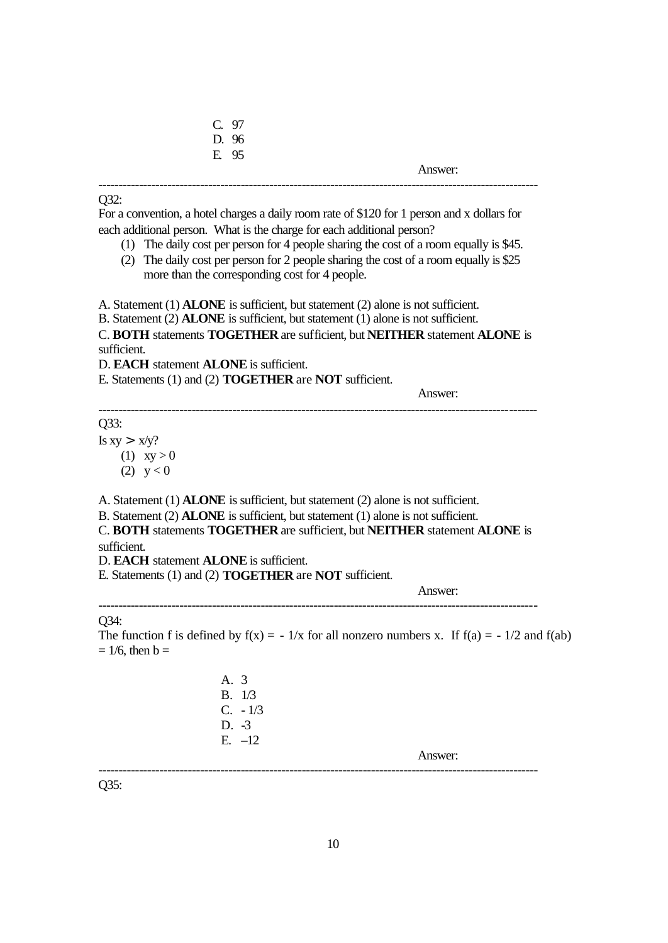| C. 97 |         |
|-------|---------|
| D. 96 |         |
| E. 95 |         |
|       | Answer: |
|       |         |

#### Q32:

For a convention, a hotel charges a daily room rate of \$120 for 1 person and x dollars for each additional person. What is the charge for each additional person?

- (1) The daily cost per person for 4 people sharing the cost of a room equally is \$45.
- (2) The daily cost per person for 2 people sharing the cost of a room equally is \$25 more than the corresponding cost for 4 people.

A. Statement (1) **ALONE** is sufficient, but statement (2) alone is not sufficient.

B. Statement (2) **ALONE** is sufficient, but statement (1) alone is not sufficient.

C. **BOTH** statements **TOGETHER** are sufficient, but **NEITHER** statement **ALONE** is sufficient.

------------------------------------------------------------------------------------------------------------

D. **EACH** statement **ALONE** is sufficient.

E. Statements (1) and (2) **TOGETHER** are **NOT** sufficient.

Answer:

Q33:

Is  $xy > x/y$ ? (1)  $xy > 0$ (2)  $y < 0$ 

A. Statement (1) **ALONE** is sufficient, but statement (2) alone is not sufficient.

B. Statement (2) **ALONE** is sufficient, but statement (1) alone is not sufficient.

C. **BOTH** statements **TOGETHER** are sufficient, but **NEITHER** statement **ALONE** is sufficient.

------------------------------------------------------------------------------------------------------------

D. **EACH** statement **ALONE** is sufficient.

E. Statements (1) and (2) **TOGETHER** are **NOT** sufficient.

Answer:

## Q34:

The function f is defined by  $f(x) = -1/x$  for all nonzero numbers x. If  $f(a) = -1/2$  and  $f(ab)$  $= 1/6$ , then  $b =$ 

> A. 3 B. 1/3 C. - 1/3 D. -3 E. –12

> > Answer:

Q35:

------------------------------------------------------------------------------------------------------------